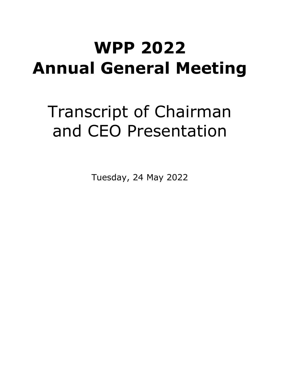# **WPP 2022 Annual General Meeting**

# Transcript of Chairman and CEO Presentation

Tuesday, 24 May 2022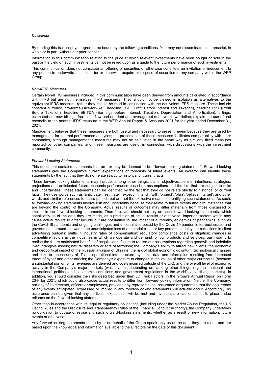#### *Disclaimer*

By reading this transcript you agree to be bound by the following conditions. You may not disseminate this transcript, in whole or in part, without our prior consent.

Information in this communication relating to the price at which relevant investments have been bought or sold in the past or the yield on such investments cannot be relied upon as a guide to the future performance of such investments.

This communication does not constitute an offering of securities or otherwise constitute an invitation or inducement to any person to underwrite, subscribe for or otherwise acquire or dispose of securities in any company within the WPP Group.

#### *Non-IFRS Measures*

Certain Non-IFRS measures included in this communication have been derived from amounts calculated in accordance with IFRS but are not themselves IFRS measures. They should not be viewed in isolation as alternatives to the equivalent IFRS measure, rather they should be read in conjunction with the equivalent IFRS measure. These include constant currency, pro-forma ('like-for-like'), headline PBIT (Profit Before Interest and Taxation), headline PBT (Profit Before Taxation), headline EBITDA (Earnings before Interest, Taxation, Depreciation and Amortisation), billings, estimated net new billings, free cash flow and net debt and average net debt, which we define, explain the use of and reconcile to the nearest IFRS measure in the WPP Annual Report & Accounts 2021 for the year ended December 31, 2021.

Management believes that these measures are both useful and necessary to present herein because they are used by management for internal performance analyses; the presentation of these measures facilitates comparability with other companies, although management's measures may not be calculated in the same way as similarly titled measures reported by other companies; and these measures are useful in connection with discussions with the investment community.

#### *Forward-Looking Statements*

This document contains statements that are, or may be deemed to be, "forward-looking statements". Forward-looking statements give the Company's current expectations or forecasts of future events. An investor can identify these statements by the fact that they do not relate strictly to historical or current facts.

These forward-looking statements may include, among other things, plans, objectives, beliefs, intentions, strategies, projections and anticipated future economic performance based on assumptions and the like that are subject to risks and uncertainties. These statements can be identified by the fact that they do not relate strictly to historical or current facts. They use words such as 'anticipate', 'estimate', 'expect', 'intend', 'will', 'project', 'plan', 'believe', 'target', and other words and similar references to future periods but are not the exclusive means of identifying such statements. As such, all forward-looking statements involve risk and uncertainty because they relate to future events and circumstances that are beyond the control of the Company. Actual results or outcomes may differ materially from those discussed or implied in the forward-looking statements. Therefore, you should not rely on such forward-looking statements, which speak only as of the date they are made, as a prediction of actual results or otherwise. Important factors which may cause actual results to differ include but are not limited to: the impact of outbreaks, epidemics or pandemics, such as the Covid-19 pandemic and ongoing challenges and uncertainties posed by the Covid-19 pandemic for businesses and governments around the world; the unanticipated loss of a material client or key personnel; delays or reductions in client advertising budgets; shifts in industry rates of compensation; regulatory compliance costs or litigation; changes in competitive factors in the industries in which we operate and demand for our products and services; our inability to realise the future anticipated benefits of acquisitions; failure to realise our assumptions regarding goodwill and indefinite lived intangible assets; natural disasters or acts of terrorism; the Company's ability to attract new clients; the economic and geopolitical impact of the Russian invasion of Ukraine; the risk of global economic downturn; technological changes and risks to the security of IT and operational infrastructure, systems, data and information resulting from increased threat of cyber and other attacks; the Company's exposure to changes in the values of other major currencies (because a substantial portion of its revenues are derived and costs incurred outside of the UK); and the overall level of economic activity in the Company's major markets (which varies depending on, among other things, regional, national and international political and economic conditions and government regulations in the world's advertising markets). In addition, you should consider the risks described under Item 3D 'Risk Factors' in the Group's Annual Report on Form 20-F for 2021, which could also cause actual results to differ from forward-looking information. Neither the Company, nor any of its directors, officers or employees, provides any representation, assurance or guarantee that the occurrence of any events anticipated, expressed or implied in any forward-looking statements will actually occur. Accordingly, no assurance can be given that any particular expectation will be met and investors are cautioned not to place undue reliance on the forward-looking statements.

Other than in accordance with its legal or regulatory obligations (including under the Market Abuse Regulation, the UK Listing Rules and the Disclosure and Transparency Rules of the Financial Conduct Authority), the Company undertakes no obligation to update or revise any such forward-looking statements, whether as a result of new information, future events or otherwise.

Any forward-looking statements made by or on behalf of the Group speak only as of the date they are made and are based upon the knowledge and information available to the Directors on the date of this document.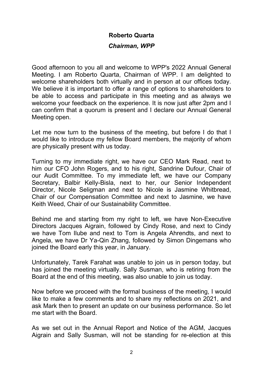#### **Roberto Quarta**

#### *Chairman, WPP*

Good afternoon to you all and welcome to WPP's 2022 Annual General Meeting. I am Roberto Quarta, Chairman of WPP. I am delighted to welcome shareholders both virtually and in person at our offices today. We believe it is important to offer a range of options to shareholders to be able to access and participate in this meeting and as always we welcome your feedback on the experience. It is now just after 2pm and I can confirm that a quorum is present and I declare our Annual General Meeting open.

Let me now turn to the business of the meeting, but before I do that I would like to introduce my fellow Board members, the majority of whom are physically present with us today.

Turning to my immediate right, we have our CEO Mark Read, next to him our CFO John Rogers, and to his right, Sandrine Dufour, Chair of our Audit Committee. To my immediate left, we have our Company Secretary, Balbir Kelly-Bisla, next to her, our Senior Independent Director, Nicole Seligman and next to Nicole is Jasmine Whitbread, Chair of our Compensation Committee and next to Jasmine, we have Keith Weed, Chair of our Sustainability Committee.

Behind me and starting from my right to left, we have Non-Executive Directors Jacques Aigrain, followed by Cindy Rose, and next to Cindy we have Tom Ilube and next to Tom is Angela Ahrendts, and next to Angela, we have Dr Ya-Qin Zhang, followed by Simon Dingemans who joined the Board early this year, in January.

Unfortunately, Tarek Farahat was unable to join us in person today, but has joined the meeting virtually. Sally Susman, who is retiring from the Board at the end of this meeting, was also unable to join us today.

Now before we proceed with the formal business of the meeting, I would like to make a few comments and to share my reflections on 2021, and ask Mark then to present an update on our business performance. So let me start with the Board.

As we set out in the Annual Report and Notice of the AGM, Jacques Aigrain and Sally Susman, will not be standing for re-election at this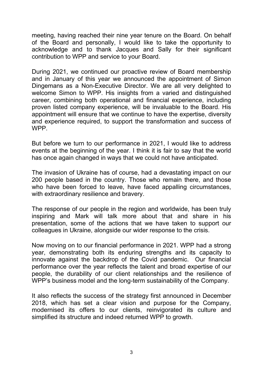meeting, having reached their nine year tenure on the Board. On behalf of the Board and personally, I would like to take the opportunity to acknowledge and to thank Jacques and Sally for their significant contribution to WPP and service to your Board.

During 2021, we continued our proactive review of Board membership and in January of this year we announced the appointment of Simon Dingemans as a Non-Executive Director. We are all very delighted to welcome Simon to WPP. His insights from a varied and distinguished career, combining both operational and financial experience, including proven listed company experience, will be invaluable to the Board. His appointment will ensure that we continue to have the expertise, diversity and experience required, to support the transformation and success of WPP.

But before we turn to our performance in 2021, I would like to address events at the beginning of the year. I think it is fair to say that the world has once again changed in ways that we could not have anticipated.

The invasion of Ukraine has of course, had a devastating impact on our 200 people based in the country. Those who remain there, and those who have been forced to leave, have faced appalling circumstances, with extraordinary resilience and bravery.

The response of our people in the region and worldwide, has been truly inspiring and Mark will talk more about that and share in his presentation, some of the actions that we have taken to support our colleagues in Ukraine, alongside our wider response to the crisis.

Now moving on to our financial performance in 2021. WPP had a strong year, demonstrating both its enduring strengths and its capacity to innovate against the backdrop of the Covid pandemic. Our financial performance over the year reflects the talent and broad expertise of our people, the durability of our client relationships and the resilience of WPP's business model and the long-term sustainability of the Company.

It also reflects the success of the strategy first announced in December 2018, which has set a clear vision and purpose for the Company, modernised its offers to our clients, reinvigorated its culture and simplified its structure and indeed returned WPP to growth.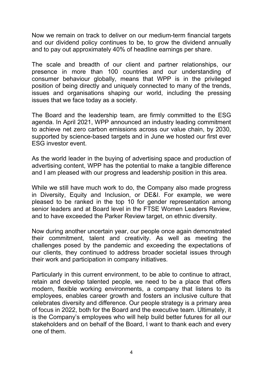Now we remain on track to deliver on our medium-term financial targets and our dividend policy continues to be, to grow the dividend annually and to pay out approximately 40% of headline earnings per share.

The scale and breadth of our client and partner relationships, our presence in more than 100 countries and our understanding of consumer behaviour globally, means that WPP is in the privileged position of being directly and uniquely connected to many of the trends, issues and organisations shaping our world, including the pressing issues that we face today as a society.

The Board and the leadership team, are firmly committed to the ESG agenda. In April 2021, WPP announced an industry leading commitment to achieve net zero carbon emissions across our value chain, by 2030, supported by science-based targets and in June we hosted our first ever ESG investor event.

As the world leader in the buying of advertising space and production of advertising content, WPP has the potential to make a tangible difference and I am pleased with our progress and leadership position in this area.

While we still have much work to do, the Company also made progress in Diversity, Equity and Inclusion, or DE&I. For example, we were pleased to be ranked in the top 10 for gender representation among senior leaders and at Board level in the FTSE Women Leaders Review, and to have exceeded the Parker Review target, on ethnic diversity.

Now during another uncertain year, our people once again demonstrated their commitment, talent and creativity. As well as meeting the challenges posed by the pandemic and exceeding the expectations of our clients, they continued to address broader societal issues through their work and participation in company initiatives.

Particularly in this current environment, to be able to continue to attract, retain and develop talented people, we need to be a place that offers modern, flexible working environments, a company that listens to its employees, enables career growth and fosters an inclusive culture that celebrates diversity and difference. Our people strategy is a primary area of focus in 2022, both for the Board and the executive team. Ultimately, it is the Company's employees who will help build better futures for all our stakeholders and on behalf of the Board, I want to thank each and every one of them.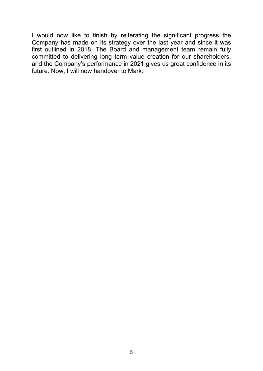I would now like to finish by reiterating the significant progress the Company has made on its strategy over the last year and since it was first outlined in 2018. The Board and management team remain fully committed to delivering long term value creation for our shareholders, and the Company's performance in 2021 gives us great confidence in its future. Now, I will now handover to Mark.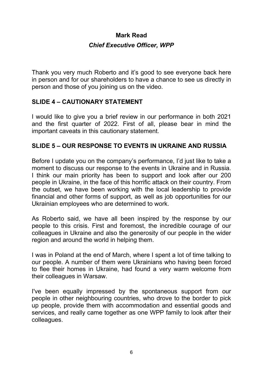## **Mark Read** *Chief Executive Officer, WPP*

Thank you very much Roberto and it's good to see everyone back here in person and for our shareholders to have a chance to see us directly in person and those of you joining us on the video.

#### **SLIDE 4 – CAUTIONARY STATEMENT**

I would like to give you a brief review in our performance in both 2021 and the first quarter of 2022. First of all, please bear in mind the important caveats in this cautionary statement.

## **SLIDE 5 – OUR RESPONSE TO EVENTS IN UKRAINE AND RUSSIA**

Before I update you on the company's performance, I'd just like to take a moment to discuss our response to the events in Ukraine and in Russia. I think our main priority has been to support and look after our 200 people in Ukraine, in the face of this horrific attack on their country. From the outset, we have been working with the local leadership to provide financial and other forms of support, as well as job opportunities for our Ukrainian employees who are determined to work.

As Roberto said, we have all been inspired by the response by our people to this crisis. First and foremost, the incredible courage of our colleagues in Ukraine and also the generosity of our people in the wider region and around the world in helping them.

I was in Poland at the end of March, where I spent a lot of time talking to our people. A number of them were Ukrainians who having been forced to flee their homes in Ukraine, had found a very warm welcome from their colleagues in Warsaw.

I've been equally impressed by the spontaneous support from our people in other neighbouring countries, who drove to the border to pick up people, provide them with accommodation and essential goods and services, and really came together as one WPP family to look after their colleagues.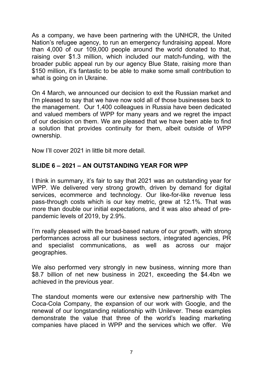As a company, we have been partnering with the UNHCR, the United Nation's refugee agency, to run an emergency fundraising appeal. More than 4,000 of our 109,000 people around the world donated to that, raising over \$1.3 million, which included our match-funding, with the broader public appeal run by our agency Blue State, raising more than \$150 million, it's fantastic to be able to make some small contribution to what is going on in Ukraine.

On 4 March, we announced our decision to exit the Russian market and I'm pleased to say that we have now sold all of those businesses back to the management. Our 1,400 colleagues in Russia have been dedicated and valued members of WPP for many years and we regret the impact of our decision on them. We are pleased that we have been able to find a solution that provides continuity for them, albeit outside of WPP ownership.

Now I'll cover 2021 in little bit more detail.

## **SLIDE 6 – 2021 – AN OUTSTANDING YEAR FOR WPP**

I think in summary, it's fair to say that 2021 was an outstanding year for WPP. We delivered very strong growth, driven by demand for digital services, ecommerce and technology. Our like-for-like revenue less pass-through costs which is our key metric, grew at 12.1%. That was more than double our initial expectations, and it was also ahead of prepandemic levels of 2019, by 2.9%.

I'm really pleased with the broad-based nature of our growth, with strong performances across all our business sectors, integrated agencies, PR and specialist communications, as well as across our major geographies.

We also performed very strongly in new business, winning more than \$8.7 billion of net new business in 2021, exceeding the \$4.4bn we achieved in the previous year.

The standout moments were our extensive new partnership with The Coca-Cola Company, the expansion of our work with Google, and the renewal of our longstanding relationship with Unilever. These examples demonstrate the value that three of the world's leading marketing companies have placed in WPP and the services which we offer. We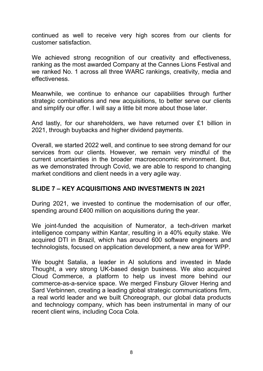continued as well to receive very high scores from our clients for customer satisfaction.

We achieved strong recognition of our creativity and effectiveness, ranking as the most awarded Company at the Cannes Lions Festival and we ranked No. 1 across all three WARC rankings, creativity, media and effectiveness.

Meanwhile, we continue to enhance our capabilities through further strategic combinations and new acquisitions, to better serve our clients and simplify our offer. I will say a little bit more about those later.

And lastly, for our shareholders, we have returned over £1 billion in 2021, through buybacks and higher dividend payments.

Overall, we started 2022 well, and continue to see strong demand for our services from our clients. However, we remain very mindful of the current uncertainties in the broader macroeconomic environment. But, as we demonstrated through Covid, we are able to respond to changing market conditions and client needs in a very agile way.

#### **SLIDE 7 – KEY ACQUISITIONS AND INVESTMENTS IN 2021**

During 2021, we invested to continue the modernisation of our offer, spending around £400 million on acquisitions during the year.

We joint-funded the acquisition of Numerator, a tech-driven market intelligence company within Kantar, resulting in a 40% equity stake. We acquired DTI in Brazil, which has around 600 software engineers and technologists, focused on application development, a new area for WPP.

We bought Satalia, a leader in AI solutions and invested in Made Thought, a very strong UK-based design business. We also acquired Cloud Commerce, a platform to help us invest more behind our commerce-as-a-service space. We merged Finsbury Glover Hering and Sard Verbinnen, creating a leading global strategic communications firm, a real world leader and we built Choreograph, our global data products and technology company, which has been instrumental in many of our recent client wins, including Coca Cola.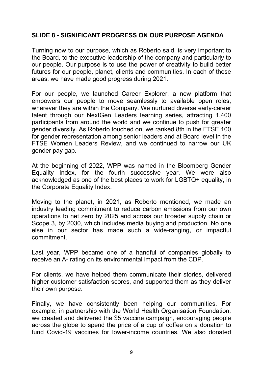#### **SLIDE 8 - SIGNIFICANT PROGRESS ON OUR PURPOSE AGENDA**

Turning now to our purpose, which as Roberto said, is very important to the Board, to the executive leadership of the company and particularly to our people. Our purpose is to use the power of creativity to build better futures for our people, planet, clients and communities. In each of these areas, we have made good progress during 2021.

For our people, we launched Career Explorer, a new platform that empowers our people to move seamlessly to available open roles, wherever they are within the Company. We nurtured diverse early-career talent through our NextGen Leaders learning series, attracting 1,400 participants from around the world and we continue to push for greater gender diversity. As Roberto touched on, we ranked 8th in the FTSE 100 for gender representation among senior leaders and at Board level in the FTSE Women Leaders Review, and we continued to narrow our UK gender pay gap.

At the beginning of 2022, WPP was named in the Bloomberg Gender Equality Index, for the fourth successive year. We were also acknowledged as one of the best places to work for LGBTQ+ equality, in the Corporate Equality Index.

Moving to the planet, in 2021, as Roberto mentioned, we made an industry leading commitment to reduce carbon emissions from our own operations to net zero by 2025 and across our broader supply chain or Scope 3, by 2030, which includes media buying and production. No one else in our sector has made such a wide-ranging, or impactful commitment.

Last year, WPP became one of a handful of companies globally to receive an A- rating on its environmental impact from the CDP.

For clients, we have helped them communicate their stories, delivered higher customer satisfaction scores, and supported them as they deliver their own purpose.

Finally, we have consistently been helping our communities. For example, in partnership with the World Health Organisation Foundation, we created and delivered the \$5 vaccine campaign, encouraging people across the globe to spend the price of a cup of coffee on a donation to fund Covid-19 vaccines for lower-income countries. We also donated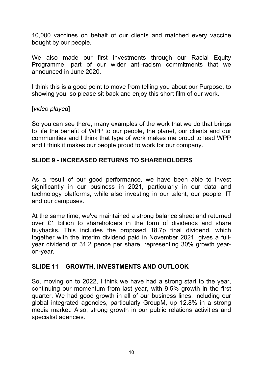10,000 vaccines on behalf of our clients and matched every vaccine bought by our people.

We also made our first investments through our Racial Equity Programme, part of our wider anti-racism commitments that we announced in June 2020.

I think this is a good point to move from telling you about our Purpose, to showing you, so please sit back and enjoy this short film of our work.

#### [*video played*]

So you can see there, many examples of the work that we do that brings to life the benefit of WPP to our people, the planet, our clients and our communities and I think that type of work makes me proud to lead WPP and I think it makes our people proud to work for our company.

#### **SLIDE 9 - INCREASED RETURNS TO SHAREHOLDERS**

As a result of our good performance, we have been able to invest significantly in our business in 2021, particularly in our data and technology platforms, while also investing in our talent, our people, IT and our campuses.

At the same time, we've maintained a strong balance sheet and returned over £1 billion to shareholders in the form of dividends and share buybacks. This includes the proposed 18.7p final dividend, which together with the interim dividend paid in November 2021, gives a fullyear dividend of 31.2 pence per share, representing 30% growth yearon-year.

#### **SLIDE 11 – GROWTH, INVESTMENTS AND OUTLOOK**

So, moving on to 2022, I think we have had a strong start to the year, continuing our momentum from last year, with 9.5% growth in the first quarter. We had good growth in all of our business lines, including our global integrated agencies, particularly GroupM, up 12.8% in a strong media market. Also, strong growth in our public relations activities and specialist agencies.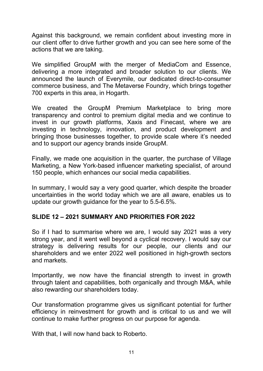Against this background, we remain confident about investing more in our client offer to drive further growth and you can see here some of the actions that we are taking.

We simplified GroupM with the merger of MediaCom and Essence, delivering a more integrated and broader solution to our clients. We announced the launch of Everymile, our dedicated direct-to-consumer commerce business, and The Metaverse Foundry, which brings together 700 experts in this area, in Hogarth.

We created the GroupM Premium Marketplace to bring more transparency and control to premium digital media and we continue to invest in our growth platforms, Xaxis and Finecast, where we are investing in technology, innovation, and product development and bringing those businesses together, to provide scale where it's needed and to support our agency brands inside GroupM.

Finally, we made one acquisition in the quarter, the purchase of Village Marketing, a New York-based influencer marketing specialist, of around 150 people, which enhances our social media capabilities.

In summary, I would say a very good quarter, which despite the broader uncertainties in the world today which we are all aware, enables us to update our growth guidance for the year to 5.5-6.5%.

## **SLIDE 12 – 2021 SUMMARY AND PRIORITIES FOR 2022**

So if I had to summarise where we are, I would say 2021 was a very strong year, and it went well beyond a cyclical recovery. I would say our strategy is delivering results for our people, our clients and our shareholders and we enter 2022 well positioned in high-growth sectors and markets.

Importantly, we now have the financial strength to invest in growth through talent and capabilities, both organically and through M&A, while also rewarding our shareholders today.

Our transformation programme gives us significant potential for further efficiency in reinvestment for growth and is critical to us and we will continue to make further progress on our purpose for agenda.

With that, I will now hand back to Roberto.